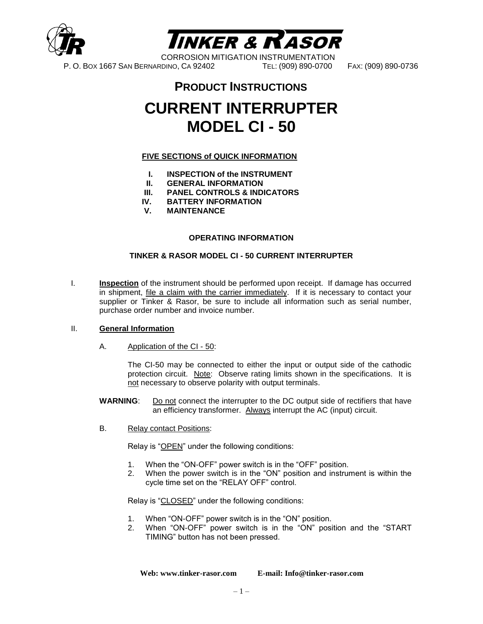



CORROSION MITIGATION INSTRUMENTATION P. O. BOX 1667 SAN BERNARDINO, CA 92402 TEL: (909) 890-0700 FAX: (909) 890-0736

## **PRODUCT INSTRUCTIONS**

## **CURRENT INTERRUPTER MODEL CI - 50**

#### **FIVE SECTIONS of QUICK INFORMATION**

- **I. INSPECTION of the INSTRUMENT**
- **II. GENERAL INFORMATION**
- **III. PANEL CONTROLS & INDICATORS**
- **IV. BATTERY INFORMATION**
- **V. MAINTENANCE**

#### **OPERATING INFORMATION**

#### **TINKER & RASOR MODEL CI - 50 CURRENT INTERRUPTER**

I. **Inspection** of the instrument should be performed upon receipt. If damage has occurred in shipment, *file a claim with the carrier immediately*. If it is necessary to contact your supplier or Tinker & Rasor, be sure to include all information such as serial number, purchase order number and invoice number.

#### II. **General Information**

A. Application of the CI - 50:

The CI-50 may be connected to either the input or output side of the cathodic protection circuit. Note: Observe rating limits shown in the specifications. It is not necessary to observe polarity with output terminals.

- **WARNING**: Do not connect the interrupter to the DC output side of rectifiers that have an efficiency transformer. Always interrupt the AC (input) circuit.
- B. Relay contact Positions:

Relay is "OPEN" under the following conditions:

- 1. When the "ON-OFF" power switch is in the "OFF" position.
- 2. When the power switch is in the "ON" position and instrument is within the cycle time set on the "RELAY OFF" control.

Relay is "CLOSED" under the following conditions:

- 1. When "ON-OFF" power switch is in the "ON" position.
- 2. When "ON-OFF" power switch is in the "ON" position and the "START TIMING" button has not been pressed.

**Web: www.tinker-rasor.com E-mail: Info@tinker-rasor.com**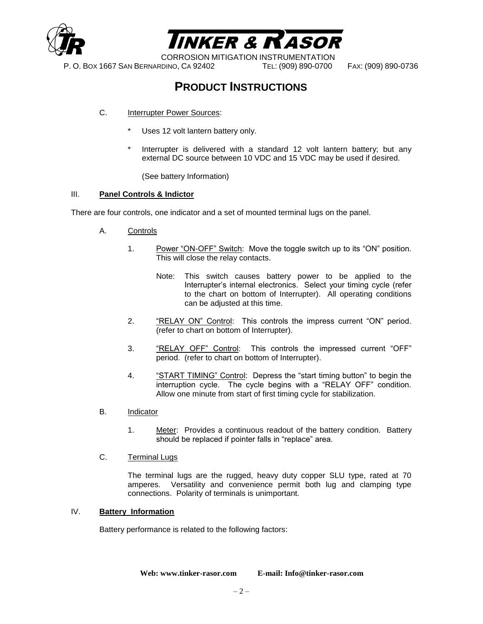



CORROSION MITIGATION INSTRUMENTATION

P. O. BOX 1667 SAN BERNARDINO, CA 92402 TEL: (909) 890-0700 FAX: (909) 890-0736

## **PRODUCT INSTRUCTIONS**

#### C. Interrupter Power Sources:

- Uses 12 volt lantern battery only.
- Interrupter is delivered with a standard 12 volt lantern battery; but any external DC source between 10 VDC and 15 VDC may be used if desired.

(See battery Information)

#### III. **Panel Controls & Indictor**

There are four controls, one indicator and a set of mounted terminal lugs on the panel.

- A. Controls
	- 1. Power "ON-OFF" Switch: Move the toggle switch up to its "ON" position. This will close the relay contacts.
		- Note: This switch causes battery power to be applied to the Interrupter's internal electronics. Select your timing cycle (refer to the chart on bottom of Interrupter). All operating conditions can be adjusted at this time.
	- 2. "RELAY ON" Control: This controls the impress current "ON" period. (refer to chart on bottom of Interrupter).
	- 3. "RELAY OFF" Control: This controls the impressed current "OFF" period. (refer to chart on bottom of Interrupter).
	- 4. "START TIMING" Control: Depress the "start timing button" to begin the interruption cycle. The cycle begins with a "RELAY OFF" condition. Allow one minute from start of first timing cycle for stabilization.
- B. Indicator
	- 1. Meter: Provides a continuous readout of the battery condition. Battery should be replaced if pointer falls in "replace" area.
- C. Terminal Lugs

The terminal lugs are the rugged, heavy duty copper SLU type, rated at 70 amperes. Versatility and convenience permit both lug and clamping type connections. Polarity of terminals is unimportant.

#### IV. **Battery Information**

Battery performance is related to the following factors:

**Web: www.tinker-rasor.com E-mail: Info@tinker-rasor.com**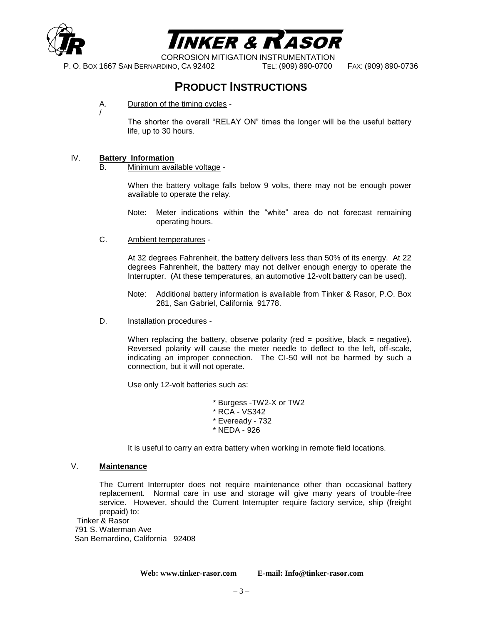



CORROSION MITIGATION INSTRUMENTATION

P. O. BOX 1667 SAN BERNARDINO, CA 92402 TEL: (909) 890-0700 FAX: (909) 890-0736

### **PRODUCT INSTRUCTIONS**

A. Duration of the timing cycles -

The shorter the overall "RELAY ON" times the longer will be the useful battery life, up to 30 hours.

#### IV. **Battery Information**

/

B. Minimum available voltage -

When the battery voltage falls below 9 volts, there may not be enough power available to operate the relay.

- Note: Meter indications within the "white" area do not forecast remaining operating hours.
- C. Ambient temperatures -

At 32 degrees Fahrenheit, the battery delivers less than 50% of its energy. At 22 degrees Fahrenheit, the battery may not deliver enough energy to operate the Interrupter. (At these temperatures, an automotive 12-volt battery can be used).

- Note: Additional battery information is available from Tinker & Rasor, P.O. Box 281, San Gabriel, California 91778.
- D. Installation procedures -

When replacing the battery, observe polarity (red  $=$  positive, black  $=$  negative). Reversed polarity will cause the meter needle to deflect to the left, off-scale, indicating an improper connection. The CI-50 will not be harmed by such a connection, but it will not operate.

Use only 12-volt batteries such as:

\* Burgess -TW2-X or TW2 \* RCA - VS342 \* Eveready - 732 \* NEDA - 926

It is useful to carry an extra battery when working in remote field locations.

#### V. **Maintenance**

The Current Interrupter does not require maintenance other than occasional battery replacement. Normal care in use and storage will give many years of trouble-free service. However, should the Current Interrupter require factory service, ship (freight prepaid) to:

Tinker & Rasor 791 S. Waterman Ave San Bernardino, California 92408

**Web: www.tinker-rasor.com E-mail: Info@tinker-rasor.com**